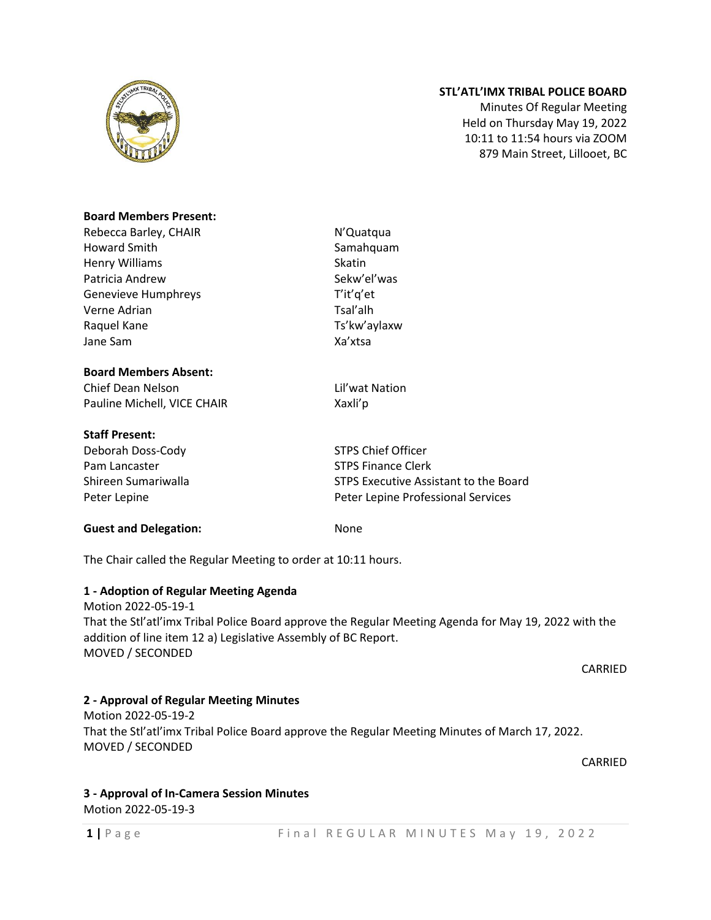

## **STL'ATL'IMX TRIBAL POLICE BOARD**

Minutes Of Regular Meeting Held on Thursday May 19, 2022 10:11 to 11:54 hours via ZOOM 879 Main Street, Lillooet, BC

#### **Board Members Present:**

Rebecca Barley, CHAIR N'Quatqua Howard Smith Samahquam Henry Williams Skatin Patricia Andrew Sekw'el'was Genevieve Humphreys T'it'q'et Verne Adrian Tsal'alh Raquel Kane Ts'kw'aylaxw Jane Sam Xa'xtsa

#### **Board Members Absent:**

Chief Dean Nelson Lil'wat Nation Pauline Michell, VICE CHAIR Xaxli'p

#### **Staff Present:**

Deborah Doss-Cody STPS Chief Officer Pam Lancaster STPS Finance Clerk

**Guest and Delegation:** None

Shireen Sumariwalla STPS Executive Assistant to the Board Peter Lepine Peter Lepine Professional Services

The Chair called the Regular Meeting to order at 10:11 hours.

#### **1 - Adoption of Regular Meeting Agenda**

Motion 2022-05-19-1 That the Stl'atl'imx Tribal Police Board approve the Regular Meeting Agenda for May 19, 2022 with the addition of line item 12 a) Legislative Assembly of BC Report. MOVED / SECONDED

CARRIED

#### **2 - Approval of Regular Meeting Minutes**

Motion 2022-05-19-2 That the Stl'atl'imx Tribal Police Board approve the Regular Meeting Minutes of March 17, 2022. MOVED / SECONDED

CARRIED

#### **3 - Approval of In-Camera Session Minutes**

Motion 2022-05-19-3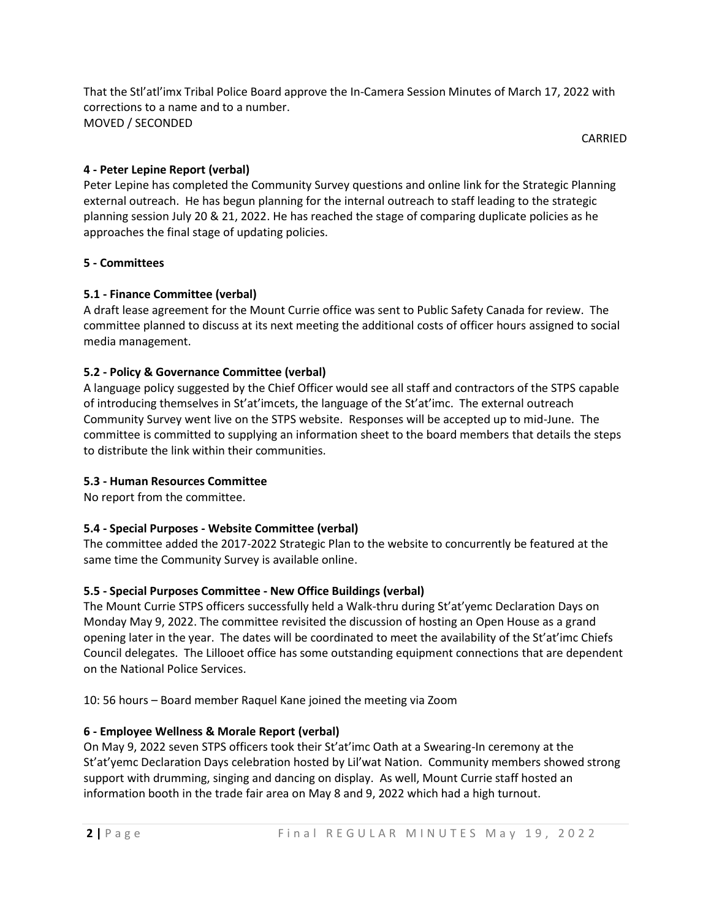That the Stl'atl'imx Tribal Police Board approve the In-Camera Session Minutes of March 17, 2022 with corrections to a name and to a number. MOVED / SECONDED

CARRIED

# **4 - Peter Lepine Report (verbal)**

Peter Lepine has completed the Community Survey questions and online link for the Strategic Planning external outreach. He has begun planning for the internal outreach to staff leading to the strategic planning session July 20 & 21, 2022. He has reached the stage of comparing duplicate policies as he approaches the final stage of updating policies.

## **5 - Committees**

## **5.1 - Finance Committee (verbal)**

A draft lease agreement for the Mount Currie office was sent to Public Safety Canada for review. The committee planned to discuss at its next meeting the additional costs of officer hours assigned to social media management.

# **5.2 - Policy & Governance Committee (verbal)**

A language policy suggested by the Chief Officer would see all staff and contractors of the STPS capable of introducing themselves in St'at'imcets, the language of the St'at'imc. The external outreach Community Survey went live on the STPS website. Responses will be accepted up to mid-June. The committee is committed to supplying an information sheet to the board members that details the steps to distribute the link within their communities.

## **5.3 - Human Resources Committee**

No report from the committee.

## **5.4 - Special Purposes - Website Committee (verbal)**

The committee added the 2017-2022 Strategic Plan to the website to concurrently be featured at the same time the Community Survey is available online.

## **5.5 - Special Purposes Committee - New Office Buildings (verbal)**

The Mount Currie STPS officers successfully held a Walk-thru during St'at'yemc Declaration Days on Monday May 9, 2022. The committee revisited the discussion of hosting an Open House as a grand opening later in the year. The dates will be coordinated to meet the availability of the St'at'imc Chiefs Council delegates. The Lillooet office has some outstanding equipment connections that are dependent on the National Police Services.

10: 56 hours – Board member Raquel Kane joined the meeting via Zoom

## **6 - Employee Wellness & Morale Report (verbal)**

On May 9, 2022 seven STPS officers took their St'at'imc Oath at a Swearing-In ceremony at the St'at'yemc Declaration Days celebration hosted by Lil'wat Nation. Community members showed strong support with drumming, singing and dancing on display. As well, Mount Currie staff hosted an information booth in the trade fair area on May 8 and 9, 2022 which had a high turnout.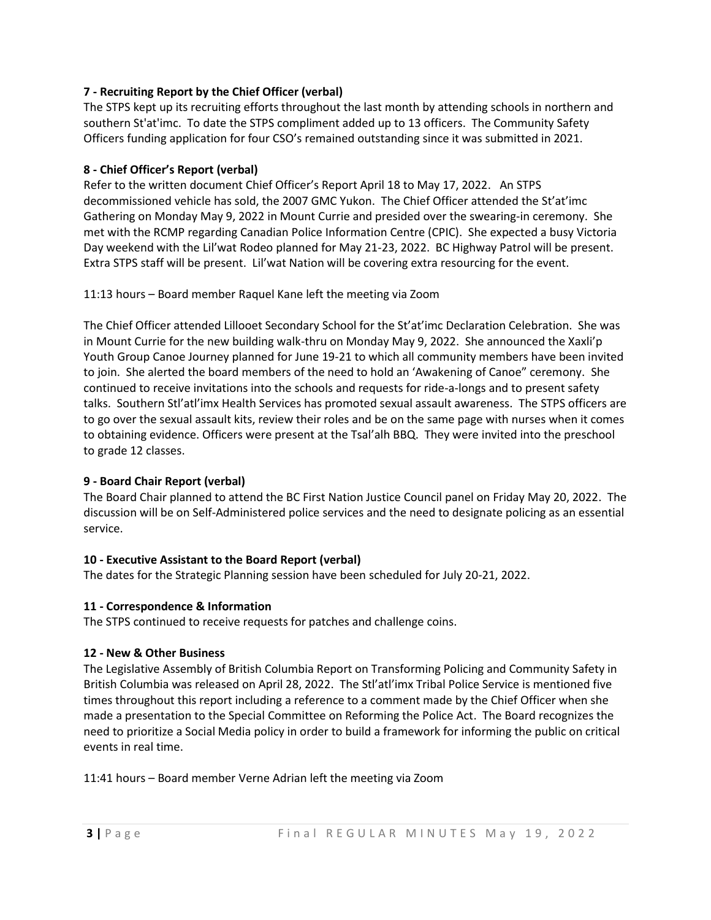### **7 - Recruiting Report by the Chief Officer (verbal)**

The STPS kept up its recruiting efforts throughout the last month by attending schools in northern and southern St'at'imc. To date the STPS compliment added up to 13 officers. The Community Safety Officers funding application for four CSO's remained outstanding since it was submitted in 2021.

### **8 - Chief Officer's Report (verbal)**

Refer to the written document Chief Officer's Report April 18 to May 17, 2022. An STPS decommissioned vehicle has sold, the 2007 GMC Yukon. The Chief Officer attended the St'at'imc Gathering on Monday May 9, 2022 in Mount Currie and presided over the swearing-in ceremony. She met with the RCMP regarding Canadian Police Information Centre (CPIC). She expected a busy Victoria Day weekend with the Lil'wat Rodeo planned for May 21-23, 2022. BC Highway Patrol will be present. Extra STPS staff will be present. Lil'wat Nation will be covering extra resourcing for the event.

### 11:13 hours – Board member Raquel Kane left the meeting via Zoom

The Chief Officer attended Lillooet Secondary School for the St'at'imc Declaration Celebration. She was in Mount Currie for the new building walk-thru on Monday May 9, 2022. She announced the Xaxli'p Youth Group Canoe Journey planned for June 19-21 to which all community members have been invited to join. She alerted the board members of the need to hold an 'Awakening of Canoe" ceremony. She continued to receive invitations into the schools and requests for ride-a-longs and to present safety talks. Southern Stl'atl'imx Health Services has promoted sexual assault awareness. The STPS officers are to go over the sexual assault kits, review their roles and be on the same page with nurses when it comes to obtaining evidence. Officers were present at the Tsal'alh BBQ. They were invited into the preschool to grade 12 classes.

#### **9 - Board Chair Report (verbal)**

The Board Chair planned to attend the BC First Nation Justice Council panel on Friday May 20, 2022. The discussion will be on Self-Administered police services and the need to designate policing as an essential service.

## **10 - Executive Assistant to the Board Report (verbal)**

The dates for the Strategic Planning session have been scheduled for July 20-21, 2022.

#### **11 - Correspondence & Information**

The STPS continued to receive requests for patches and challenge coins.

#### **12 - New & Other Business**

The Legislative Assembly of British Columbia Report on Transforming Policing and Community Safety in British Columbia was released on April 28, 2022. The Stl'atl'imx Tribal Police Service is mentioned five times throughout this report including a reference to a comment made by the Chief Officer when she made a presentation to the Special Committee on Reforming the Police Act. The Board recognizes the need to prioritize a Social Media policy in order to build a framework for informing the public on critical events in real time.

11:41 hours – Board member Verne Adrian left the meeting via Zoom